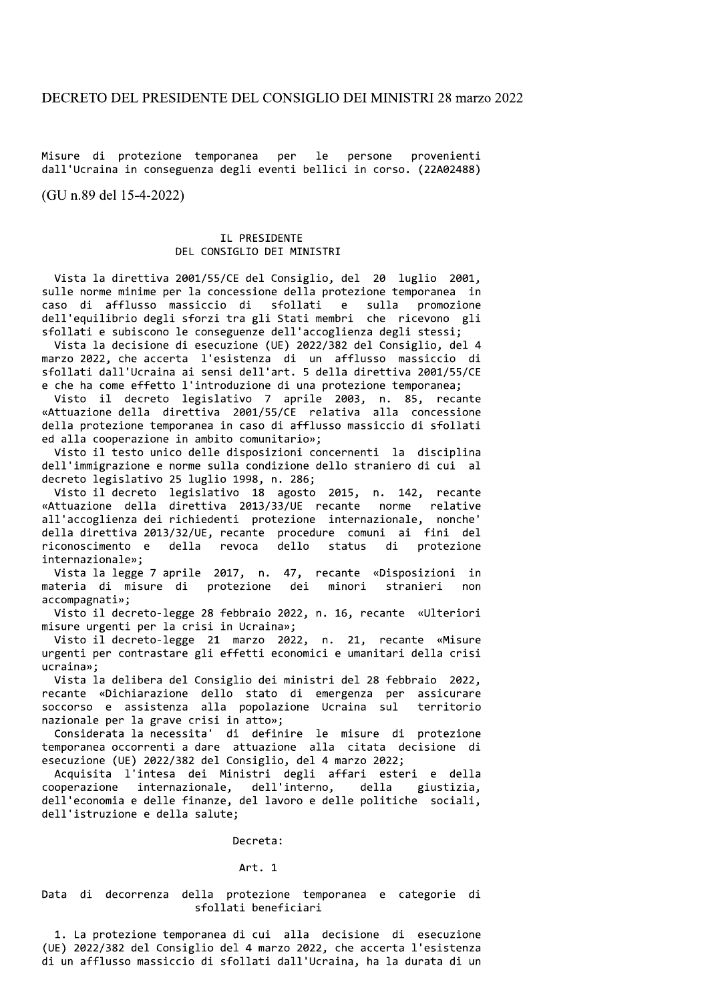Misure di protezione temporanea per le persone provenienti dall'Ucraina in conseguenza degli eventi bellici in corso. (22A02488)

(GU n.89 del 15-4-2022)

# IL PRESIDENTE DEL CONSIGLIO DEI MINISTRI

Vista la direttiva 2001/55/CE del Consiglio, del 20 luglio 2001, sulle norme minime per la concessione della protezione temporanea in caso di afflusso massiccio di sfollati e sulla promozione dell'equilibrio degli sforzi tra gli Stati membri che ricevono gli sfollati e subiscono le conseguenze dell'accoglienza degli stessi;

Vista la decisione di esecuzione (UE) 2022/382 del Consiglio, del 4 marzo 2022, che accerta l'esistenza di un afflusso massiccio di sfollati dall'Ucraina ai sensi dell'art. 5 della direttiva 2001/55/CE e che ha come effetto l'introduzione di una protezione temporanea;

Visto il decreto legislativo 7 aprile 2003, n. 85, recante «Attuazione della direttiva 2001/55/CE relativa alla concessione della protezione temporanea in caso di afflusso massiccio di sfollati ed alla cooperazione in ambito comunitario»;

Visto il testo unico delle disposizioni concernenti la disciplina dell'immigrazione e norme sulla condizione dello straniero di cui al decreto legislativo 25 luglio 1998, n. 286;

Visto il decreto legislativo 18 agosto 2015, n. 142, recante «Attuazione della direttiva 2013/33/UE recante norme relative all'accoglienza dei richiedenti protezione internazionale, nonche' della direttiva 2013/32/UE, recante procedure comuni ai fini del riconoscimento e della revoca dello protezione status di internazionale»;

Vista la legge 7 aprile 2017, n. 47, recante «Disposizioni in materia di misure di protezione dei minori stranieri  $non$ accompagnati»:

Visto il decreto-legge 28 febbraio 2022, n. 16, recante «Ulteriori misure urgenti per la crisi in Ucraina»;

Visto il decreto-legge 21 marzo 2022, n. 21, recante «Misure urgenti per contrastare gli effetti economici e umanitari della crisi ucraina»:

Vista la delibera del Consiglio dei ministri del 28 febbraio 2022, recante «Dichiarazione dello stato di emergenza per assicurare soccorso e assistenza alla popolazione Ucraina sul territorio nazionale per la grave crisi in atto»;

Considerata la necessita' di definire le misure di protezione temporanea occorrenti a dare attuazione alla citata decisione di esecuzione (UE) 2022/382 del Consiglio, del 4 marzo 2022;

Acquisita l'intesa dei Ministri degli affari esteri e della cooperazione internazionale, dell'interno, della giustizia, dell'economia e delle finanze, del lavoro e delle politiche sociali, dell'istruzione e della salute;

# Decreta:

## Art. 1

Data di decorrenza della protezione temporanea e categorie di sfollati beneficiari

1. La protezione temporanea di cui alla decisione di esecuzione (UE) 2022/382 del Consiglio del 4 marzo 2022, che accerta l'esistenza di un afflusso massiccio di sfollati dall'Ucraina, ha la durata di un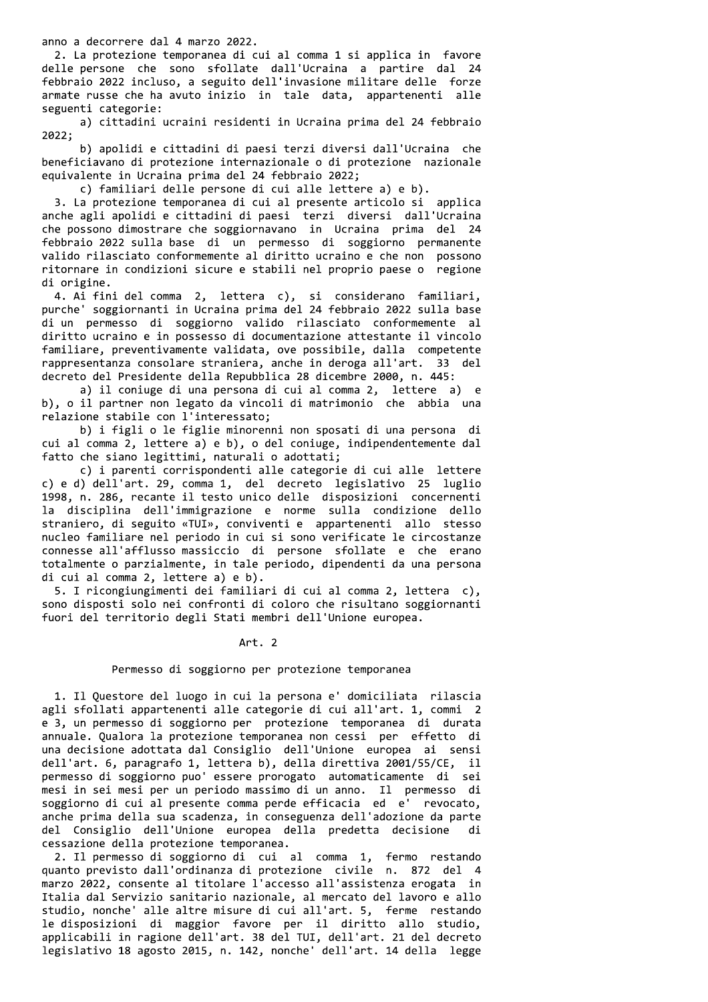anno a decorrere dal 4 marzo 2022.

2. La protezione temporanea di cui al comma 1 si applica in favore delle persone che sono sfollate dall'Ucraina a partire dal 24 febbraio 2022 incluso, a seguito dell'invasione militare delle forze armate russe che ha avuto inizio in tale data, appartenenti alle seguenti categorie:

a) cittadini ucraini residenti in Ucraina prima del 24 febbraio 2022;

b) apolidi e cittadini di paesi terzi diversi dall'Ucraina che beneficiavano di protezione internazionale o di protezione nazionale equivalente in Ucraina prima del 24 febbraio 2022;

c) familiari delle persone di cui alle lettere a) e b).

3. La protezione temporanea di cui al presente articolo si applica anche agli apolidi e cittadini di paesi terzi diversi dall'Ucraina che possono dimostrare che soggiornavano in Ucraina prima del 24 febbraio 2022 sulla base di un permesso di soggiorno permanente valido rilasciato conformemente al diritto ucraino e che non possono ritornare in condizioni sicure e stabili nel proprio paese o regione di origine.

4. Ai fini del comma 2, lettera c), si considerano familiari, purche' soggiornanti in Ucraina prima del 24 febbraio 2022 sulla base di un permesso di soggiorno valido rilasciato conformemente al diritto ucraino e in possesso di documentazione attestante il vincolo familiare, preventivamente validata, ove possibile, dalla competente rappresentanza consolare straniera, anche in deroga all'art. 33 del decreto del Presidente della Repubblica 28 dicembre 2000, n. 445:

a) il coniuge di una persona di cui al comma 2, lettere a) e b), o il partner non legato da vincoli di matrimonio che abbia una relazione stabile con l'interessato;

b) i figli o le figlie minorenni non sposati di una persona di cui al comma 2, lettere a) e b), o del coniuge, indipendentemente dal fatto che siano legittimi, naturali o adottati;

c) i parenti corrispondenti alle categorie di cui alle lettere c) e d) dell'art. 29, comma 1, del decreto legislativo 25 luglio 1998, n. 286, recante il testo unico delle disposizioni concernenti la disciplina dell'immigrazione e norme sulla condizione dello straniero, di seguito «TUI», conviventi e appartenenti allo stesso nucleo familiare nel periodo in cui si sono verificate le circostanze connesse all'afflusso massiccio di persone sfollate e che erano totalmente o parzialmente, in tale periodo, dipendenti da una persona di cui al comma 2, lettere a) e b).

5. I ricongiungimenti dei familiari di cui al comma 2, lettera c), sono disposti solo nei confronti di coloro che risultano soggiornanti fuori del territorio degli Stati membri dell'Unione europea.

### Art. 2

## Permesso di soggiorno per protezione temporanea

1. Il Questore del luogo in cui la persona e' domiciliata rilascia agli sfollati appartenenti alle categorie di cui all'art. 1, commi 2 e 3, un permesso di soggiorno per protezione temporanea di durata annuale. Qualora la protezione temporanea non cessi per effetto di una decisione adottata dal Consiglio dell'Unione europea ai sensi dell'art. 6, paragrafo 1, lettera b), della direttiva 2001/55/CE, il permesso di soggiorno puo' essere prorogato automaticamente di sei mesi in sei mesi per un periodo massimo di un anno. Il permesso di soggiorno di cui al presente comma perde efficacia ed e' revocato, anche prima della sua scadenza, in conseguenza dell'adozione da parte del Consiglio dell'Unione europea della predetta decisione di cessazione della protezione temporanea.

2. Il permesso di soggiorno di cui al comma 1, fermo restando quanto previsto dall'ordinanza di protezione civile n. 872 del 4 marzo 2022, consente al titolare l'accesso all'assistenza erogata in Italia dal Servizio sanitario nazionale, al mercato del lavoro e allo studio, nonche' alle altre misure di cui all'art. 5, ferme restando le disposizioni di maggior favore per il diritto allo studio, applicabili in ragione dell'art. 38 del TUI, dell'art. 21 del decreto legislativo 18 agosto 2015, n. 142, nonche' dell'art. 14 della legge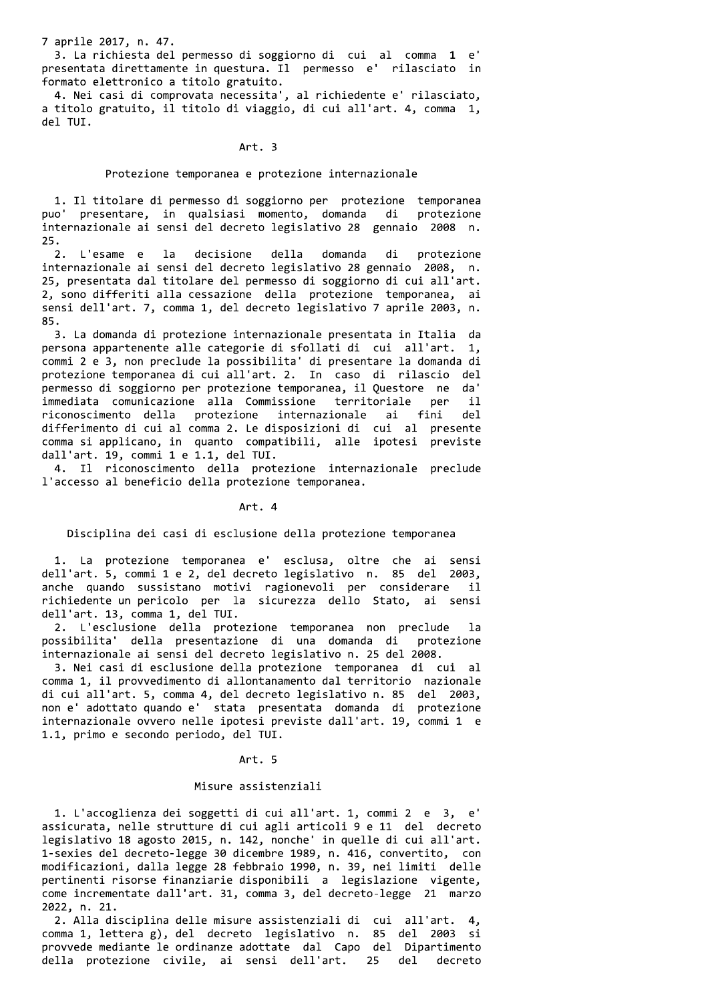7 aprile 2017, n. 47.

3. La richiesta del permesso di soggiorno di cui al comma 1 e' presentata direttamente in questura. Il permesso e' rilasciato in formato elettronico a titolo gratuito.

4. Nei casi di comprovata necessita', al richiedente e' rilasciato, a titolo gratuito, il titolo di viaggio, di cui all'art. 4, comma 1, del TUI.

#### Art. 3

### Protezione temporanea e protezione internazionale

1. Il titolare di permesso di soggiorno per protezione temporanea puo' presentare, in qualsiasi momento, domanda di protezione internazionale ai sensi del decreto legislativo 28 gennaio 2008 n. 25.

protezione L'esame e la decisione della domanda di  $2.$ internazionale ai sensi del decreto legislativo 28 gennaio 2008, n. 25, presentata dal titolare del permesso di soggiorno di cui all'art. 2, sono differiti alla cessazione della protezione temporanea, ai sensi dell'art. 7, comma 1, del decreto legislativo 7 aprile 2003, n. 85.

3. La domanda di protezione internazionale presentata in Italia da persona appartenente alle categorie di sfollati di cui all'art. 1, commi 2 e 3, non preclude la possibilita' di presentare la domanda di protezione temporanea di cui all'art. 2. In caso di rilascio del permesso di soggiorno per protezione temporanea, il Questore ne da' per immediata comunicazione alla Commissione territoriale  $\ddot{\mathbf{i}}$ riconoscimento della protezione internazionale ai fini de l differimento di cui al comma 2. Le disposizioni di cui al presente comma si applicano, in quanto compatibili, alle ipotesi previste dall'art. 19, commi 1 e 1.1, del TUI.

4. Il riconoscimento della protezione internazionale preclude l'accesso al beneficio della protezione temporanea.

Art. 4

Disciplina dei casi di esclusione della protezione temporanea

1. La protezione temporanea e' esclusa, oltre che ai sensi dell'art. 5, commi 1 e 2, del decreto legislativo n. 85 del 2003, anche quando sussistano motivi ragionevoli per considerare -il richiedente un pericolo per la sicurezza dello Stato, ai sensi dell'art. 13, comma 1, del TUI.

2. L'esclusione della protezione temporanea non preclude la<br>possibilita' della presentazione di una domanda di protezione internazionale ai sensi del decreto legislativo n. 25 del 2008.

3. Nei casi di esclusione della protezione temporanea di cui al comma 1, il provvedimento di allontanamento dal territorio nazionale di cui all'art. 5, comma 4, del decreto legislativo n. 85 del 2003, non e' adottato quando e' stata presentata domanda di protezione internazionale ovvero nelle ipotesi previste dall'art. 19, commi 1 e 1.1, primo e secondo periodo, del TUI.

#### Art. 5

## Misure assistenziali

1. L'accoglienza dei soggetti di cui all'art. 1, commi 2 e 3, e' assicurata, nelle strutture di cui agli articoli 9 e 11 del decreto legislativo 18 agosto 2015, n. 142, nonche' in quelle di cui all'art. 1-sexies del decreto-legge 30 dicembre 1989, n. 416, convertito, con modificazioni, dalla legge 28 febbraio 1990, n. 39, nei limiti delle pertinenti risorse finanziarie disponibili a legislazione vigente, come incrementate dall'art. 31, comma 3, del decreto-legge 21 marzo 2022, n. 21.

2. Alla disciplina delle misure assistenziali di cui all'art. 4, comma 1, lettera g), del decreto legislativo n. 85 del 2003 si provvede mediante le ordinanze adottate dal Capo del Dipartimento della protezione civile, ai sensi dell'art.  $25$ del. decreto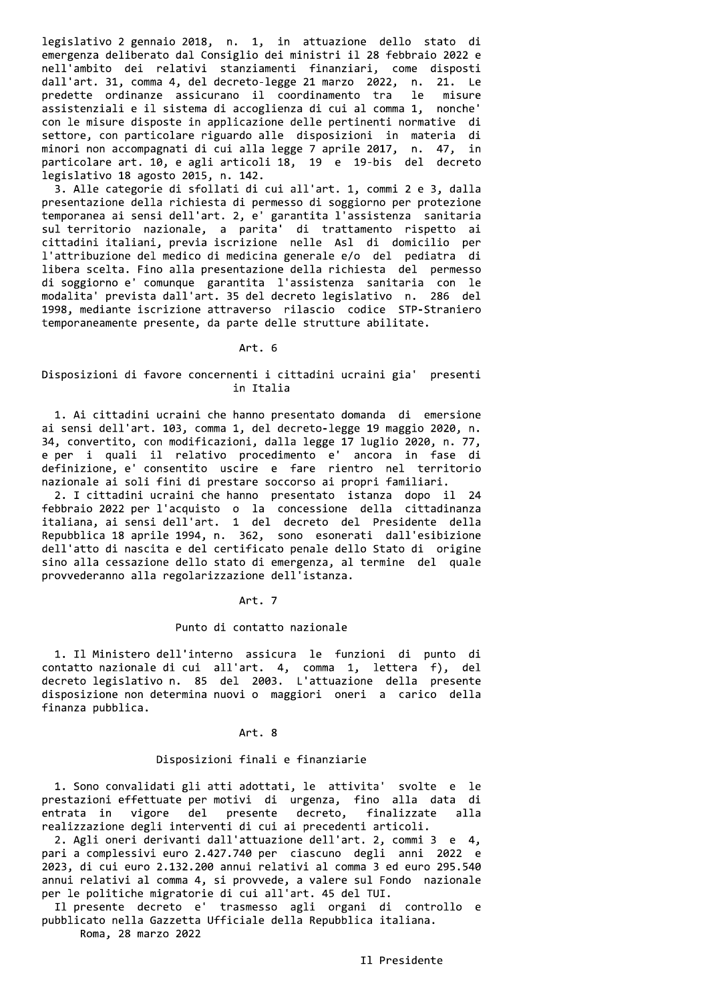legislativo 2 gennaio 2018, n. 1, in attuazione dello stato di emergenza deliberato dal Consiglio dei ministri il 28 febbraio 2022 e nell'ambito dei relativi stanziamenti finanziari, come disposti dall'art. 31, comma 4, del decreto-legge 21 marzo 2022, n. 21. Le predette ordinanze assicurano il coordinamento tra le misure assistenziali e il sistema di accoglienza di cui al comma 1, nonche' con le misure disposte in applicazione delle pertinenti normative di settore, con particolare riguardo alle disposizioni in materia di minori non accompagnati di cui alla legge 7 aprile 2017, n. 47, in particolare art. 10, e agli articoli 18, 19 e 19-bis del decreto legislativo 18 agosto 2015, n. 142.

3. Alle categorie di sfollati di cui all'art. 1, commi 2 e 3, dalla presentazione della richiesta di permesso di soggiorno per protezione temporanea ai sensi dell'art. 2, e' garantita l'assistenza sanitaria sul territorio nazionale, a parita' di trattamento rispetto ai cittadini italiani, previa iscrizione nelle Asl di domicilio per l'attribuzione del medico di medicina generale e/o del pediatra di libera scelta. Fino alla presentazione della richiesta del permesso di soggiorno e' comunque garantita l'assistenza sanitaria con le modalita' prevista dall'art. 35 del decreto legislativo n. 286 del 1998, mediante iscrizione attraverso rilascio codice STP-Straniero temporaneamente presente, da parte delle strutture abilitate.

### Art. 6

## Disposizioni di favore concernenti i cittadini ucraini gia' presenti in Italia

1. Ai cittadini ucraini che hanno presentato domanda di emersione ai sensi dell'art. 103, comma 1, del decreto-legge 19 maggio 2020, n. 34, convertito, con modificazioni, dalla legge 17 luglio 2020, n. 77, e per i quali il relativo procedimento e' ancora in fase di definizione, e' consentito uscire e fare rientro nel territorio nazionale ai soli fini di prestare soccorso ai propri familiari.

2. I cittadini ucraini che hanno presentato istanza dopo il 24 Febbraio 2022 per l'acquisto o la concessione della cittadinanza<br>italiana, ai sensi dell'art. 1 del decreto del Presidente della<br>Repubblica 18 aprile 1994, n. 362, sono esonerati dall'esibizione dell'atto di nascita e del certificato penale dello Stato di origine sino alla cessazione dello stato di emergenza, al termine del quale provvederanno alla regolarizzazione dell'istanza.

#### Art. 7

#### Punto di contatto nazionale

1. Il Ministero dell'interno assicura le funzioni di punto di contatto nazionale di cui all'art. 4, comma 1, lettera f), del<br>decreto legislativo n. 85 del 2003. L'attuazione della presente disposizione non determina nuovi o maggiori oneri a carico della finanza pubblica.

### Art. 8

## Disposizioni finali e finanziarie

1. Sono convalidati gli atti adottati, le attivita' svolte e le prestazioni effettuate per motivi di urgenza, fino alla data di entrata in vigore del presente decreto, finalizzate alla realizzazione degli interventi di cui ai precedenti articoli.

2. Agli oneri derivanti dall'attuazione dell'art. 2, commi 3 e 4, pari a complessivi euro 2.427.740 per ciascuno degli anni 2022 e 2023, di cui euro 2.132.200 annui relativi al comma 3 ed euro 295.540 annui relativi al comma 4, si provvede, a valere sul Fondo nazionale per le politiche migratorie di cui all'art. 45 del TUI.

Il presente decreto e' trasmesso agli organi di controllo e pubblicato nella Gazzetta Ufficiale della Repubblica italiana.

Roma, 28 marzo 2022